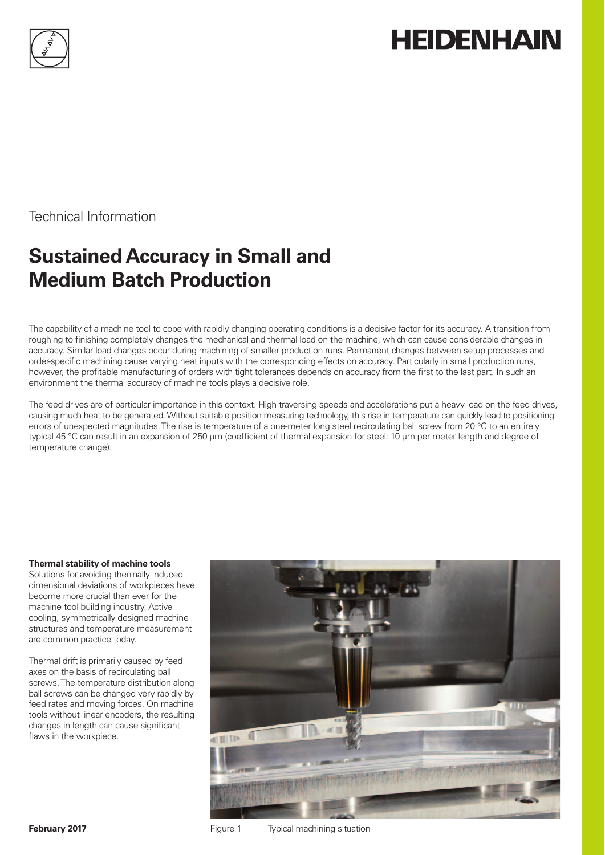

# **HEIDENHAIN**

Technical Information

## **Sustained Accuracy in Small and Medium Batch Production**

The capability of a machine tool to cope with rapidly changing operating conditions is a decisive factor for its accuracy. A transition from roughing to finishing completely changes the mechanical and thermal load on the machine, which can cause considerable changes in accuracy. Similar load changes occur during machining of smaller production runs. Permanent changes between setup processes and order-specific machining cause varying heat inputs with the corresponding effects on accuracy. Particularly in small production runs, however, the profitable manufacturing of orders with tight tolerances depends on accuracy from the first to the last part. In such an environment the thermal accuracy of machine tools plays a decisive role.

The feed drives are of particular importance in this context. High traversing speeds and accelerations put a heavy load on the feed drives, causing much heat to be generated. Without suitable position measuring technology, this rise in temperature can quickly lead to positioning errors of unexpected magnitudes. The rise is temperature of a one-meter long steel recirculating ball screw from 20 °C to an entirely typical 45 °C can result in an expansion of 250 µm (coefficient of thermal expansion for steel: 10 µm per meter length and degree of temperature change).

#### **Thermal stability of machine tools**

Solutions for avoiding thermally induced dimensional deviations of workpieces have become more crucial than ever for the machine tool building industry. Active cooling, symmetrically designed machine structures and temperature measurement are common practice today.

Thermal drift is primarily caused by feed axes on the basis of recirculating ball screws. The temperature distribution along ball screws can be changed very rapidly by feed rates and moving forces. On machine tools without linear encoders, the resulting changes in length can cause significant flaws in the workpiece.

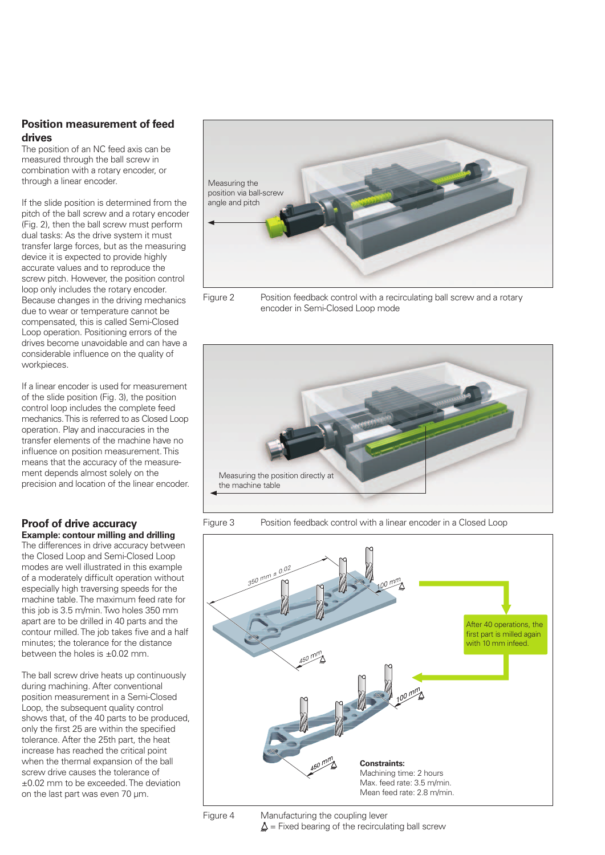#### **Position measurement of feed drives**

The position of an NC feed axis can be measured through the ball screw in combination with a rotary encoder, or through a linear encoder.

If the slide position is determined from the pitch of the ball screw and a rotary encoder (Fig. 2), then the ball screw must perform dual tasks: As the drive system it must transfer large forces, but as the measuring device it is expected to provide highly accurate values and to reproduce the screw pitch. However, the position control loop only includes the rotary encoder. Because changes in the driving mechanics due to wear or temperature cannot be compensated, this is called Semi-Closed Loop operation. Positioning errors of the drives become unavoidable and can have a considerable influence on the quality of workpieces.

If a linear encoder is used for measurement of the slide position (Fig. 3), the position control loop includes the complete feed mechanics. This is referred to as Closed Loop operation. Play and inaccuracies in the transfer elements of the machine have no influence on position measurement. This means that the accuracy of the measurement depends almost solely on the precision and location of the linear encoder.

#### **Proof of drive accuracy Example: contour milling and drilling**

The differences in drive accuracy between the Closed Loop and Semi-Closed Loop modes are well illustrated in this example of a moderately difficult operation without especially high traversing speeds for the machine table. The maximum feed rate for this job is 3.5 m/min. Two holes 350 mm apart are to be drilled in 40 parts and the contour milled. The job takes five and a half minutes; the tolerance for the distance between the holes is ±0.02 mm.

The ball screw drive heats up continuously during machining. After conventional position measurement in a Semi-Closed Loop, the subsequent quality control shows that, of the 40 parts to be produced, only the first 25 are within the specified tolerance. After the 25th part, the heat increase has reached the critical point when the thermal expansion of the ball screw drive causes the tolerance of ±0.02 mm to be exceeded. The deviation on the last part was even 70 µm.



Figure 2 Position feedback control with a recirculating ball screw and a rotary encoder in Semi-Closed Loop mode



Figure 3 Position feedback control with a linear encoder in a Closed Loop





Figure 4 Manufacturing the coupling lever  $\Delta$  = Fixed bearing of the recirculating ball screw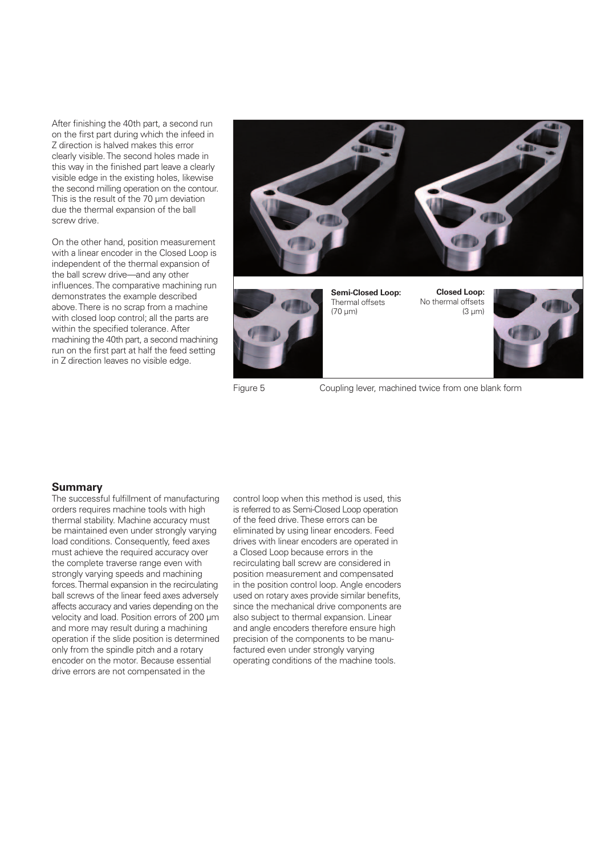After finishing the 40th part, a second run on the first part during which the infeed in Z direction is halved makes this error clearly visible. The second holes made in this way in the finished part leave a clearly visible edge in the existing holes, likewise the second milling operation on the contour. This is the result of the 70 µm deviation due the thermal expansion of the ball screw drive.

On the other hand, position measurement with a linear encoder in the Closed Loop is independent of the thermal expansion of the ball screw drive—and any other influences. The comparative machining run demonstrates the example described above. There is no scrap from a machine with closed loop control; all the parts are within the specified tolerance. After machining the 40th part, a second machining run on the first part at half the feed setting in Z direction leaves no visible edge.





**Semi-Closed Loop:** Thermal offsets (70 µm)

**Closed Loop:** No thermal offsets  $(3 \text{ }\mu\text{m})$ 



Figure 5 Coupling lever, machined twice from one blank form

#### **Summary**

The successful fulfillment of manufacturing orders requires machine tools with high thermal stability. Machine accuracy must be maintained even under strongly varying load conditions. Consequently, feed axes must achieve the required accuracy over the complete traverse range even with strongly varying speeds and machining forces. Thermal expansion in the recirculating ball screws of the linear feed axes adversely affects accuracy and varies depending on the velocity and load. Position errors of 200 µm and more may result during a machining operation if the slide position is determined only from the spindle pitch and a rotary encoder on the motor. Because essential drive errors are not compensated in the

control loop when this method is used, this is referred to as Semi-Closed Loop operation of the feed drive. These errors can be eliminated by using linear encoders. Feed drives with linear encoders are operated in a Closed Loop because errors in the recirculating ball screw are considered in position measurement and compensated in the position control loop. Angle encoders used on rotary axes provide similar benefits. since the mechanical drive components are also subject to thermal expansion. Linear and angle encoders therefore ensure high precision of the components to be manufactured even under strongly varying operating conditions of the machine tools.